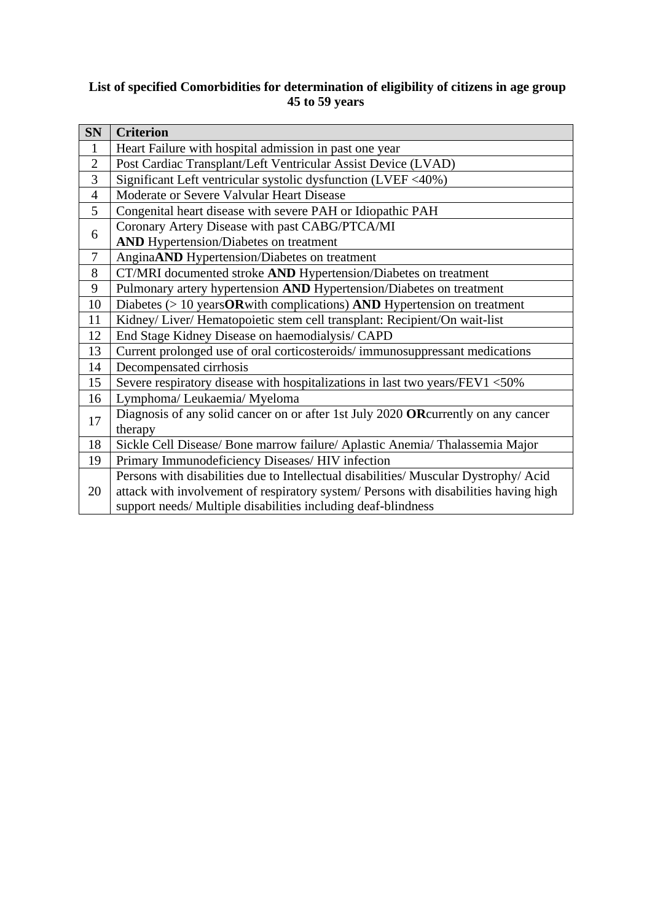## **List of specified Comorbidities for determination of eligibility of citizens in age group 45 to 59 years**

| SN                       | <b>Criterion</b>                                                                     |  |
|--------------------------|--------------------------------------------------------------------------------------|--|
| $\mathbf{1}$             | Heart Failure with hospital admission in past one year                               |  |
| $\overline{2}$           | Post Cardiac Transplant/Left Ventricular Assist Device (LVAD)                        |  |
| 3                        | Significant Left ventricular systolic dysfunction (LVEF <40%)                        |  |
| $\overline{4}$           | Moderate or Severe Valvular Heart Disease                                            |  |
| 5                        | Congenital heart disease with severe PAH or Idiopathic PAH                           |  |
| 6                        | Coronary Artery Disease with past CABG/PTCA/MI                                       |  |
|                          | <b>AND</b> Hypertension/Diabetes on treatment                                        |  |
| $\overline{\mathcal{L}}$ | AnginaAND Hypertension/Diabetes on treatment                                         |  |
| 8                        | CT/MRI documented stroke AND Hypertension/Diabetes on treatment                      |  |
| 9                        | Pulmonary artery hypertension AND Hypertension/Diabetes on treatment                 |  |
| 10                       | Diabetes $(>10$ years OR with complications) AND Hypertension on treatment           |  |
| 11                       | Kidney/ Liver/ Hematopoietic stem cell transplant: Recipient/On wait-list            |  |
| 12                       | End Stage Kidney Disease on haemodialysis/ CAPD                                      |  |
| 13                       | Current prolonged use of oral corticosteroids/immunosuppressant medications          |  |
| 14                       | Decompensated cirrhosis                                                              |  |
| 15                       | Severe respiratory disease with hospitalizations in last two years/FEV1 <50%         |  |
| 16                       | Lymphoma/ Leukaemia/ Myeloma                                                         |  |
| 17                       | Diagnosis of any solid cancer on or after 1st July 2020 ORcurrently on any cancer    |  |
|                          | therapy                                                                              |  |
| 18                       | Sickle Cell Disease/ Bone marrow failure/ Aplastic Anemia/ Thalassemia Major         |  |
| 19                       | Primary Immunodeficiency Diseases/HIV infection                                      |  |
| 20                       | Persons with disabilities due to Intellectual disabilities/ Muscular Dystrophy/ Acid |  |
|                          | attack with involvement of respiratory system/ Persons with disabilities having high |  |
|                          | support needs/ Multiple disabilities including deaf-blindness                        |  |